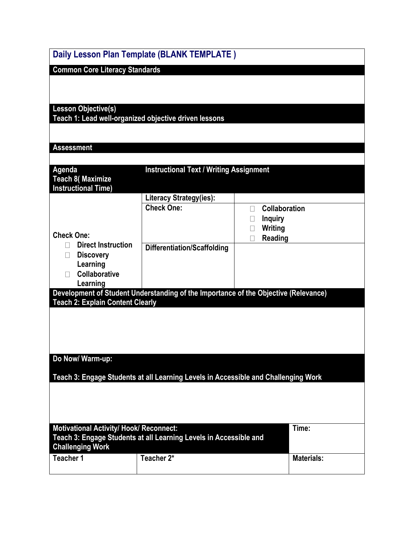|                                                                                                                     | Daily Lesson Plan Template (BLANK TEMPLATE)                                         |                                                       |  |  |  |
|---------------------------------------------------------------------------------------------------------------------|-------------------------------------------------------------------------------------|-------------------------------------------------------|--|--|--|
| <b>Common Core Literacy Standards</b>                                                                               |                                                                                     |                                                       |  |  |  |
|                                                                                                                     |                                                                                     |                                                       |  |  |  |
|                                                                                                                     |                                                                                     |                                                       |  |  |  |
| <b>Lesson Objective(s)</b>                                                                                          | Teach 1: Lead well-organized objective driven lessons                               |                                                       |  |  |  |
|                                                                                                                     |                                                                                     |                                                       |  |  |  |
| <b>Assessment</b>                                                                                                   |                                                                                     |                                                       |  |  |  |
|                                                                                                                     |                                                                                     |                                                       |  |  |  |
| Agenda<br><b>Teach 8( Maximize</b>                                                                                  | <b>Instructional Text / Writing Assignment</b>                                      |                                                       |  |  |  |
| <b>Instructional Time)</b>                                                                                          |                                                                                     |                                                       |  |  |  |
|                                                                                                                     | Literacy Strategy(ies):                                                             |                                                       |  |  |  |
|                                                                                                                     | <b>Check One:</b>                                                                   | <b>Collaboration</b><br>П<br><b>Inquiry</b><br>$\Box$ |  |  |  |
|                                                                                                                     |                                                                                     | Writing<br>$\Box$                                     |  |  |  |
| <b>Check One:</b><br><b>Direct Instruction</b>                                                                      |                                                                                     | Reading<br>$\Box$                                     |  |  |  |
| Н<br><b>Discovery</b><br>$\Box$                                                                                     | <b>Differentiation/Scaffolding</b>                                                  |                                                       |  |  |  |
| Learning                                                                                                            |                                                                                     |                                                       |  |  |  |
| Collaborative<br>Learning                                                                                           |                                                                                     |                                                       |  |  |  |
|                                                                                                                     | Development of Student Understanding of the Importance of the Objective (Relevance) |                                                       |  |  |  |
| <b>Teach 2: Explain Content Clearly</b>                                                                             |                                                                                     |                                                       |  |  |  |
|                                                                                                                     |                                                                                     |                                                       |  |  |  |
|                                                                                                                     |                                                                                     |                                                       |  |  |  |
|                                                                                                                     |                                                                                     |                                                       |  |  |  |
| Do Now/ Warm-up:                                                                                                    |                                                                                     |                                                       |  |  |  |
|                                                                                                                     |                                                                                     |                                                       |  |  |  |
|                                                                                                                     | Teach 3: Engage Students at all Learning Levels in Accessible and Challenging Work  |                                                       |  |  |  |
|                                                                                                                     |                                                                                     |                                                       |  |  |  |
|                                                                                                                     |                                                                                     |                                                       |  |  |  |
|                                                                                                                     |                                                                                     | Time:                                                 |  |  |  |
| <b>Motivational Activity/ Hook/ Reconnect:</b><br>Teach 3: Engage Students at all Learning Levels in Accessible and |                                                                                     |                                                       |  |  |  |
| <b>Challenging Work</b>                                                                                             |                                                                                     |                                                       |  |  |  |
| <b>Teacher 1</b>                                                                                                    | Teacher 2*                                                                          | <b>Materials:</b>                                     |  |  |  |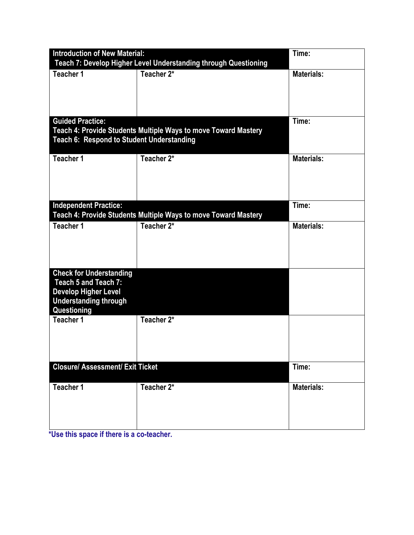| <b>Introduction of New Material:</b>                                                                                                 | Time:                                                          |                   |
|--------------------------------------------------------------------------------------------------------------------------------------|----------------------------------------------------------------|-------------------|
| Teach 7: Develop Higher Level Understanding through Questioning<br>Teacher 1                                                         | <b>Materials:</b>                                              |                   |
|                                                                                                                                      | Teacher 2*                                                     |                   |
|                                                                                                                                      |                                                                |                   |
| <b>Guided Practice:</b><br>Teach 4: Provide Students Multiple Ways to move Toward Mastery                                            | Time:                                                          |                   |
| Teach 6: Respond to Student Understanding                                                                                            |                                                                |                   |
| Teacher 1                                                                                                                            | Teacher 2*                                                     | <b>Materials:</b> |
| <b>Independent Practice:</b>                                                                                                         | Teach 4: Provide Students Multiple Ways to move Toward Mastery | Time:             |
| <b>Teacher 1</b>                                                                                                                     | Teacher 2*                                                     | <b>Materials:</b> |
| <b>Check for Understanding</b><br>Teach 5 and Teach 7:<br><b>Develop Higher Level</b><br><b>Understanding through</b><br>Questioning |                                                                |                   |
| Teacher 1                                                                                                                            | Teacher 2*                                                     |                   |
| <b>Closure/ Assessment/ Exit Ticket</b>                                                                                              |                                                                | Time:             |
| Teacher 1                                                                                                                            | Teacher 2*                                                     | Materials:        |

**\*Use this space if there is a co-teacher.**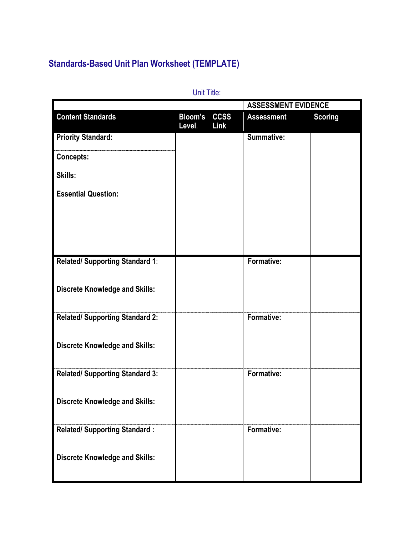## **Standards-Based Unit Plan Worksheet (TEMPLATE)**

|                                        |                          |                     | <b>ASSESSMENT EVIDENCE</b> |                |
|----------------------------------------|--------------------------|---------------------|----------------------------|----------------|
| <b>Content Standards</b>               | <b>Bloom's</b><br>Level. | <b>CCSS</b><br>Link | <b>Assessment</b>          | <b>Scoring</b> |
| <b>Priority Standard:</b>              |                          |                     | Summative:                 |                |
| <b>Concepts:</b>                       |                          |                     |                            |                |
| Skills:                                |                          |                     |                            |                |
| <b>Essential Question:</b>             |                          |                     |                            |                |
|                                        |                          |                     |                            |                |
|                                        |                          |                     |                            |                |
| Related/ Supporting Standard 1:        |                          |                     | Formative:                 |                |
|                                        |                          |                     |                            |                |
| <b>Discrete Knowledge and Skills:</b>  |                          |                     |                            |                |
| <b>Related/ Supporting Standard 2:</b> |                          |                     | Formative:                 |                |
|                                        |                          |                     |                            |                |
| <b>Discrete Knowledge and Skills:</b>  |                          |                     |                            |                |
| <b>Related/ Supporting Standard 3:</b> |                          |                     | Formative:                 |                |
|                                        |                          |                     |                            |                |
| <b>Discrete Knowledge and Skills:</b>  |                          |                     |                            |                |
|                                        |                          |                     | Formative:                 |                |
| <b>Related/ Supporting Standard:</b>   |                          |                     |                            |                |
| <b>Discrete Knowledge and Skills:</b>  |                          |                     |                            |                |
|                                        |                          |                     |                            |                |

Unit Title: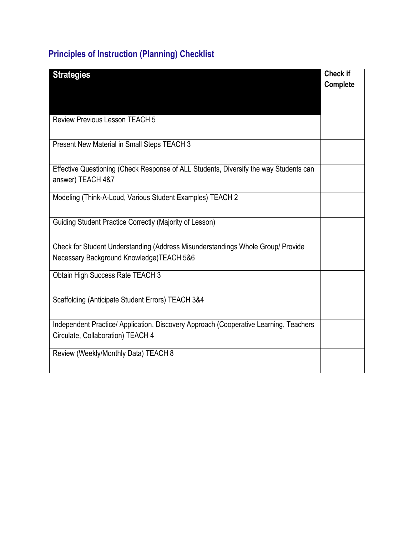## **Principles of Instruction (Planning) Checklist**

| <b>Strategies</b>                                                                     | <b>Check if</b> |
|---------------------------------------------------------------------------------------|-----------------|
|                                                                                       | Complete        |
|                                                                                       |                 |
|                                                                                       |                 |
| <b>Review Previous Lesson TEACH 5</b>                                                 |                 |
|                                                                                       |                 |
| Present New Material in Small Steps TEACH 3                                           |                 |
|                                                                                       |                 |
| Effective Questioning (Check Response of ALL Students, Diversify the way Students can |                 |
| answer) TEACH 4&7                                                                     |                 |
| Modeling (Think-A-Loud, Various Student Examples) TEACH 2                             |                 |
|                                                                                       |                 |
|                                                                                       |                 |
| Guiding Student Practice Correctly (Majority of Lesson)                               |                 |
|                                                                                       |                 |
| Check for Student Understanding (Address Misunderstandings Whole Group/ Provide       |                 |
| Necessary Background Knowledge) TEACH 5&6                                             |                 |
| Obtain High Success Rate TEACH 3                                                      |                 |
|                                                                                       |                 |
| Scaffolding (Anticipate Student Errors) TEACH 3&4                                     |                 |
|                                                                                       |                 |
| Independent Practice/ Application, Discovery Approach (Cooperative Learning, Teachers |                 |
| Circulate, Collaboration) TEACH 4                                                     |                 |
|                                                                                       |                 |
| Review (Weekly/Monthly Data) TEACH 8                                                  |                 |
|                                                                                       |                 |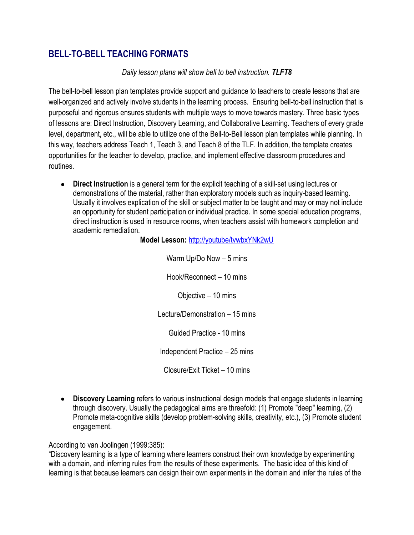## **BELL-TO-BELL TEACHING FORMATS**

## *Daily lesson plans will show bell to bell instruction. TLFT8*

The bell-to-bell lesson plan templates provide support and guidance to teachers to create lessons that are well-organized and actively involve students in the learning process. Ensuring bell-to-bell instruction that is purposeful and rigorous ensures students with multiple ways to move towards mastery. Three basic types of lessons are: Direct Instruction, Discovery Learning, and Collaborative Learning. Teachers of every grade level, department, etc., will be able to utilize one of the Bell-to-Bell lesson plan templates while planning. In this way, teachers address Teach 1, Teach 3, and Teach 8 of the TLF. In addition, the template creates opportunities for the teacher to develop, practice, and implement effective classroom procedures and routines.

**Direct Instruction** is a general term for the explicit teaching of a skill-set using [lectures](http://en.wikipedia.org/wiki/Lecture) or demonstrations of the material, rather than exploratory models such as [inquiry-based learning.](http://en.wikipedia.org/wiki/Inquiry-based_learning) Usually it involves explication of the skill or subject matter to be taught and may or may not include an opportunity for student participation or individual practice. In some special education programs, direct instruction is used in [resource rooms,](http://en.wikipedia.org/wiki/Resource_rooms) when teachers assist with [homework](http://en.wikipedia.org/wiki/Homework) completion and academic remediation.

**Model Lesson:** <http://youtube/tvwbxYNk2wU>

Warm Up/Do Now – 5 mins Hook/Reconnect – 10 mins Objective – 10 mins Lecture/Demonstration – 15 mins Guided Practice - 10 mins Independent Practice – 25 mins

Closure/Exit Ticket – 10 mins

**Discovery Learning** refers to various [instructional design models](http://edutechwiki.unige.ch/en/Instructional_design_model) that engage students in learning through discovery. Usually the pedagogical aims are threefold: (1) Promote "deep" learning, (2) Promote meta-cognitive skills (develop problem-solving skills, creativity, etc.), (3) Promote student engagement.

According to van Joolingen (1999:385):

"Discovery learning is a type of learning where learners construct their own knowledge by experimenting with a domain, and inferring rules from the results of these experiments. The basic idea of this kind of learning is that because learners can design their own experiments in the domain and infer the rules of the